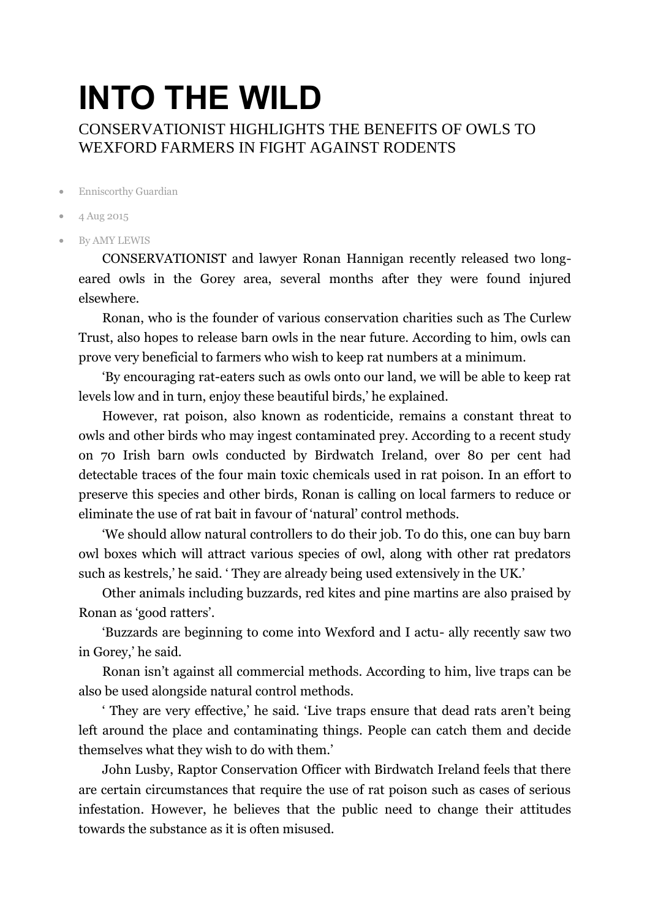## **INTO THE WILD** CONSERVATIONIST HIGHLIGHTS THE BENEFITS OF OWLS TO WEXFORD FARMERS IN FIGHT AGAINST RODENTS

- Enniscorthy Guardian
- 4 Aug 2015
- By AMY LEWIS

CONSERVATIONIST and lawyer Ronan Hannigan recently released two longeared owls in the Gorey area, several months after they were found injured elsewhere.

Ronan, who is the founder of various conservation charities such as The Curlew Trust, also hopes to release barn owls in the near future. According to him, owls can prove very beneficial to farmers who wish to keep rat numbers at a minimum.

'By encouraging rat-eaters such as owls onto our land, we will be able to keep rat levels low and in turn, enjoy these beautiful birds,' he explained.

However, rat poison, also known as rodenticide, remains a constant threat to owls and other birds who may ingest contaminated prey. According to a recent study on 70 Irish barn owls conducted by Birdwatch Ireland, over 80 per cent had detectable traces of the four main toxic chemicals used in rat poison. In an effort to preserve this species and other birds, Ronan is calling on local farmers to reduce or eliminate the use of rat bait in favour of 'natural' control methods.

'We should allow natural controllers to do their job. To do this, one can buy barn owl boxes which will attract various species of owl, along with other rat predators such as kestrels,' he said. ' They are already being used extensively in the UK.'

Other animals including buzzards, red kites and pine martins are also praised by Ronan as 'good ratters'.

'Buzzards are beginning to come into Wexford and I actu- ally recently saw two in Gorey,' he said.

Ronan isn't against all commercial methods. According to him, live traps can be also be used alongside natural control methods.

' They are very effective,' he said. 'Live traps ensure that dead rats aren't being left around the place and contaminating things. People can catch them and decide themselves what they wish to do with them.'

John Lusby, Raptor Conservation Officer with Birdwatch Ireland feels that there are certain circumstances that require the use of rat poison such as cases of serious infestation. However, he believes that the public need to change their attitudes towards the substance as it is often misused.